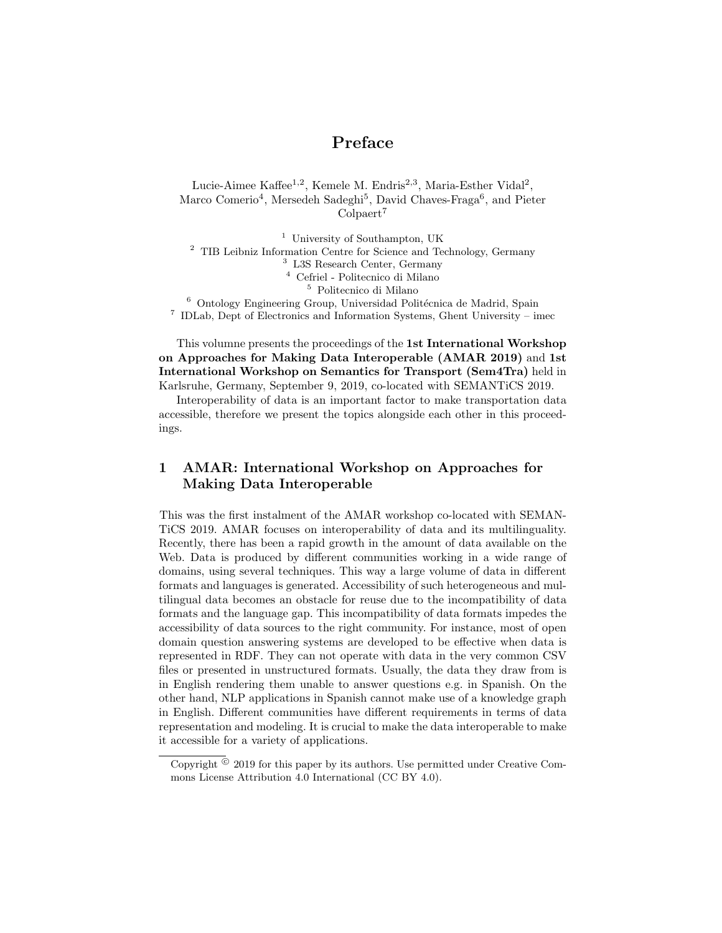# Preface

Lucie-Aimee Kaffee<sup>1,2</sup>, Kemele M. Endris<sup>2,3</sup>, Maria-Esther Vidal<sup>2</sup>, Marco Comerio<sup>4</sup>, Mersedeh Sadeghi<sup>5</sup>, David Chaves-Fraga<sup>6</sup>, and Pieter Colpaert<sup>7</sup>

 University of Southampton, UK  $^2\,$  TIB Leibniz Information Centre for Science and Technology, Germany L3S Research Center, Germany Cefriel - Politecnico di Milano Politecnico di Milano  $^6$  Ontology Engineering Group, Universidad Politécnica de Madrid, Spain

<sup>7</sup> IDLab, Dept of Electronics and Information Systems, Ghent University – imec

This volumne presents the proceedings of the 1st International Workshop on Approaches for Making Data Interoperable (AMAR 2019) and 1st International Workshop on Semantics for Transport (Sem4Tra) held in Karlsruhe, Germany, September 9, 2019, co-located with SEMANTiCS 2019.

Interoperability of data is an important factor to make transportation data accessible, therefore we present the topics alongside each other in this proceedings.

## 1 AMAR: International Workshop on Approaches for Making Data Interoperable

This was the first instalment of the AMAR workshop co-located with SEMAN-TiCS 2019. AMAR focuses on interoperability of data and its multilinguality. Recently, there has been a rapid growth in the amount of data available on the Web. Data is produced by different communities working in a wide range of domains, using several techniques. This way a large volume of data in different formats and languages is generated. Accessibility of such heterogeneous and multilingual data becomes an obstacle for reuse due to the incompatibility of data formats and the language gap. This incompatibility of data formats impedes the accessibility of data sources to the right community. For instance, most of open domain question answering systems are developed to be effective when data is represented in RDF. They can not operate with data in the very common CSV files or presented in unstructured formats. Usually, the data they draw from is in English rendering them unable to answer questions e.g. in Spanish. On the other hand, NLP applications in Spanish cannot make use of a knowledge graph in English. Different communities have different requirements in terms of data representation and modeling. It is crucial to make the data interoperable to make it accessible for a variety of applications.

Copyright  $\degree$  2019 for this paper by its authors. Use permitted under Creative Commons License Attribution 4.0 International (CC BY 4.0).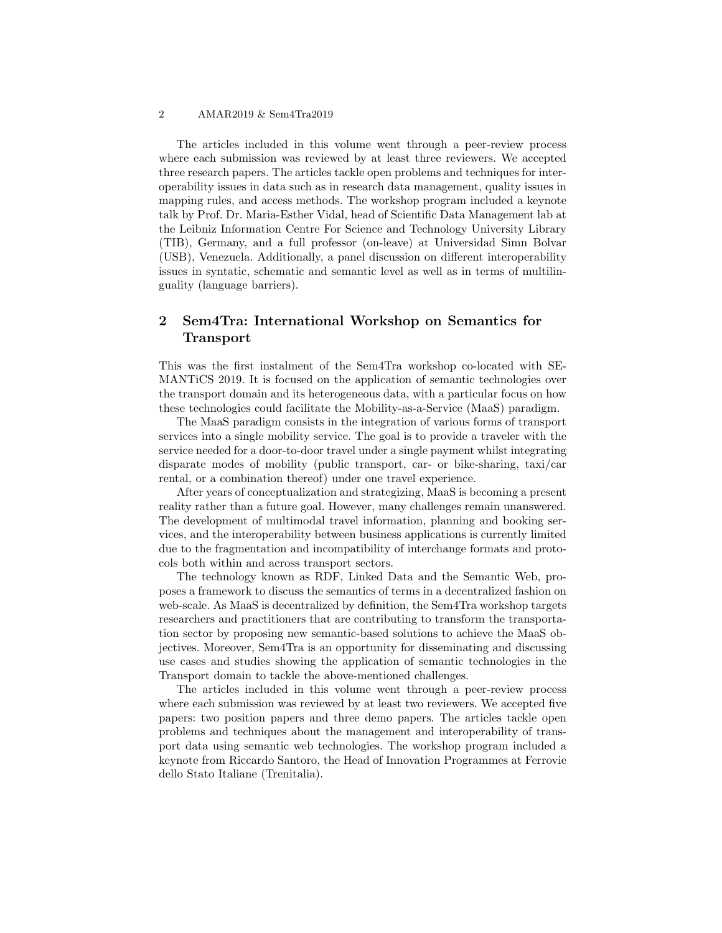#### 2 AMAR2019 & Sem4Tra2019

The articles included in this volume went through a peer-review process where each submission was reviewed by at least three reviewers. We accepted three research papers. The articles tackle open problems and techniques for interoperability issues in data such as in research data management, quality issues in mapping rules, and access methods. The workshop program included a keynote talk by Prof. Dr. Maria-Esther Vidal, head of Scientific Data Management lab at the Leibniz Information Centre For Science and Technology University Library (TIB), Germany, and a full professor (on-leave) at Universidad Simn Bolvar (USB), Venezuela. Additionally, a panel discussion on different interoperability issues in syntatic, schematic and semantic level as well as in terms of multilinguality (language barriers).

### 2 Sem4Tra: International Workshop on Semantics for Transport

This was the first instalment of the Sem4Tra workshop co-located with SE-MANTiCS 2019. It is focused on the application of semantic technologies over the transport domain and its heterogeneous data, with a particular focus on how these technologies could facilitate the Mobility-as-a-Service (MaaS) paradigm.

The MaaS paradigm consists in the integration of various forms of transport services into a single mobility service. The goal is to provide a traveler with the service needed for a door-to-door travel under a single payment whilst integrating disparate modes of mobility (public transport, car- or bike-sharing, taxi/car rental, or a combination thereof) under one travel experience.

After years of conceptualization and strategizing, MaaS is becoming a present reality rather than a future goal. However, many challenges remain unanswered. The development of multimodal travel information, planning and booking services, and the interoperability between business applications is currently limited due to the fragmentation and incompatibility of interchange formats and protocols both within and across transport sectors.

The technology known as RDF, Linked Data and the Semantic Web, proposes a framework to discuss the semantics of terms in a decentralized fashion on web-scale. As MaaS is decentralized by definition, the Sem4Tra workshop targets researchers and practitioners that are contributing to transform the transportation sector by proposing new semantic-based solutions to achieve the MaaS objectives. Moreover, Sem4Tra is an opportunity for disseminating and discussing use cases and studies showing the application of semantic technologies in the Transport domain to tackle the above-mentioned challenges.

The articles included in this volume went through a peer-review process where each submission was reviewed by at least two reviewers. We accepted five papers: two position papers and three demo papers. The articles tackle open problems and techniques about the management and interoperability of transport data using semantic web technologies. The workshop program included a keynote from Riccardo Santoro, the Head of Innovation Programmes at Ferrovie dello Stato Italiane (Trenitalia).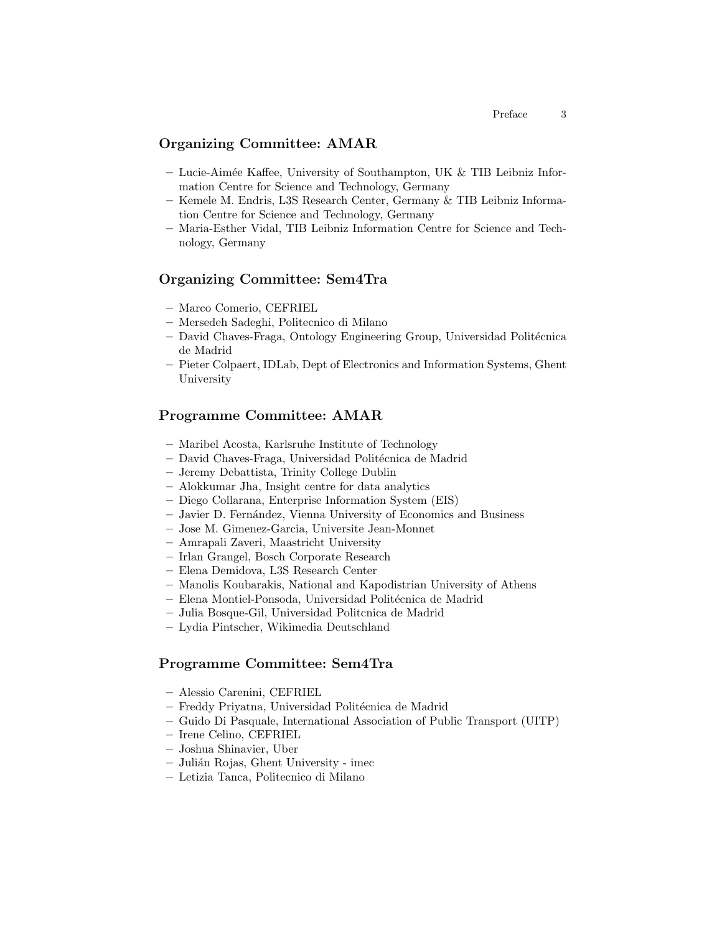#### Organizing Committee: AMAR

- Lucie-Aimée Kaffee, University of Southampton, UK  $&$  TIB Leibniz Information Centre for Science and Technology, Germany
- Kemele M. Endris, L3S Research Center, Germany & TIB Leibniz Information Centre for Science and Technology, Germany
- Maria-Esther Vidal, TIB Leibniz Information Centre for Science and Technology, Germany

#### Organizing Committee: Sem4Tra

- Marco Comerio, CEFRIEL
- Mersedeh Sadeghi, Politecnico di Milano
- David Chaves-Fraga, Ontology Engineering Group, Universidad Polit´ecnica de Madrid
- Pieter Colpaert, IDLab, Dept of Electronics and Information Systems, Ghent University

#### Programme Committee: AMAR

- Maribel Acosta, Karlsruhe Institute of Technology
- David Chaves-Fraga, Universidad Polit´ecnica de Madrid
- Jeremy Debattista, Trinity College Dublin
- Alokkumar Jha, Insight centre for data analytics
- Diego Collarana, Enterprise Information System (EIS)
- Javier D. Fern´andez, Vienna University of Economics and Business
- Jose M. Gimenez-Garcia, Universite Jean-Monnet
- Amrapali Zaveri, Maastricht University
- Irlan Grangel, Bosch Corporate Research
- Elena Demidova, L3S Research Center
- Manolis Koubarakis, National and Kapodistrian University of Athens
- Elena Montiel-Ponsoda, Universidad Polit´ecnica de Madrid
- Julia Bosque-Gil, Universidad Politcnica de Madrid
- Lydia Pintscher, Wikimedia Deutschland

#### Programme Committee: Sem4Tra

- Alessio Carenini, CEFRIEL
- Freddy Priyatna, Universidad Polit´ecnica de Madrid
- Guido Di Pasquale, International Association of Public Transport (UITP)
- Irene Celino, CEFRIEL
- Joshua Shinavier, Uber
- Juli´an Rojas, Ghent University imec
- Letizia Tanca, Politecnico di Milano